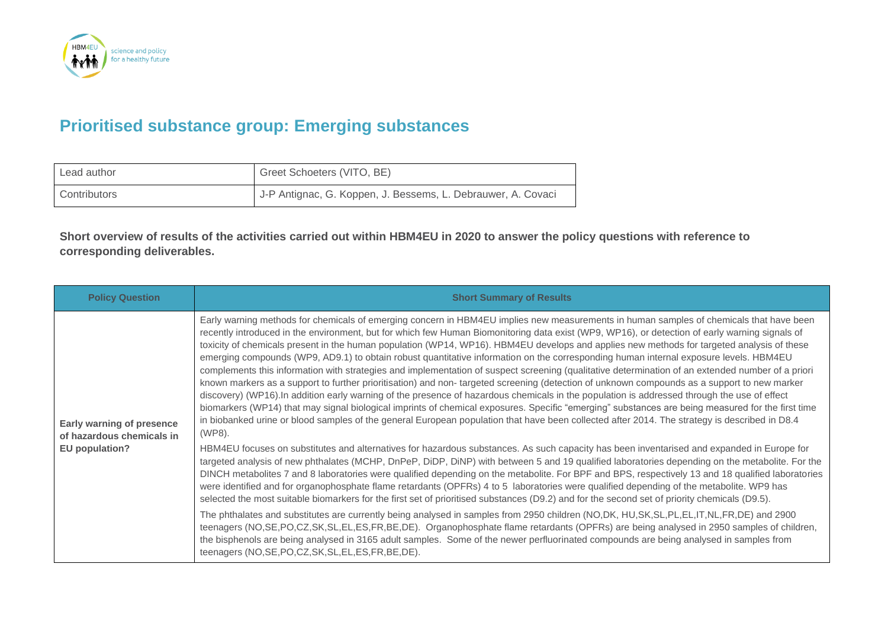

## **Prioritised substance group: Emerging substances**

| Lead author  | Greet Schoeters (VITO, BE)                                   |
|--------------|--------------------------------------------------------------|
| Contributors | J-P Antignac, G. Koppen, J. Bessems, L. Debrauwer, A. Covaci |

**Short overview of results of the activities carried out within HBM4EU in 2020 to answer the policy questions with reference to corresponding deliverables.**

| <b>Policy Question</b>                                                          | <b>Short Summary of Results</b>                                                                                                                                                                                                                                                                                                                                                                                                                                                                                                                                                                                                                                                                                                                                                                                                                                                                                                                                                                                                                                                                                                                                                                                                                                                                                                                                                                                                                                                                                                                                                                                                                                                                                                                                                                                                                                                                                                                                                                                                                                                                                                                                                                                                                                                                                                                                                                                                                                                                                                                                                                   |
|---------------------------------------------------------------------------------|---------------------------------------------------------------------------------------------------------------------------------------------------------------------------------------------------------------------------------------------------------------------------------------------------------------------------------------------------------------------------------------------------------------------------------------------------------------------------------------------------------------------------------------------------------------------------------------------------------------------------------------------------------------------------------------------------------------------------------------------------------------------------------------------------------------------------------------------------------------------------------------------------------------------------------------------------------------------------------------------------------------------------------------------------------------------------------------------------------------------------------------------------------------------------------------------------------------------------------------------------------------------------------------------------------------------------------------------------------------------------------------------------------------------------------------------------------------------------------------------------------------------------------------------------------------------------------------------------------------------------------------------------------------------------------------------------------------------------------------------------------------------------------------------------------------------------------------------------------------------------------------------------------------------------------------------------------------------------------------------------------------------------------------------------------------------------------------------------------------------------------------------------------------------------------------------------------------------------------------------------------------------------------------------------------------------------------------------------------------------------------------------------------------------------------------------------------------------------------------------------------------------------------------------------------------------------------------------------|
| <b>Early warning of presence</b><br>of hazardous chemicals in<br>EU population? | Early warning methods for chemicals of emerging concern in HBM4EU implies new measurements in human samples of chemicals that have been<br>recently introduced in the environment, but for which few Human Biomonitoring data exist (WP9, WP16), or detection of early warning signals of<br>toxicity of chemicals present in the human population (WP14, WP16). HBM4EU develops and applies new methods for targeted analysis of these<br>emerging compounds (WP9, AD9.1) to obtain robust quantitative information on the corresponding human internal exposure levels. HBM4EU<br>complements this information with strategies and implementation of suspect screening (qualitative determination of an extended number of a priori<br>known markers as a support to further prioritisation) and non- targeted screening (detection of unknown compounds as a support to new marker<br>discovery) (WP16). In addition early warning of the presence of hazardous chemicals in the population is addressed through the use of effect<br>biomarkers (WP14) that may signal biological imprints of chemical exposures. Specific "emerging" substances are being measured for the first time<br>in biobanked urine or blood samples of the general European population that have been collected after 2014. The strategy is described in D8.4<br>(WP8).<br>HBM4EU focuses on substitutes and alternatives for hazardous substances. As such capacity has been inventarised and expanded in Europe for<br>targeted analysis of new phthalates (MCHP, DnPeP, DiDP, DiNP) with between 5 and 19 qualified laboratories depending on the metabolite. For the<br>DINCH metabolites 7 and 8 laboratories were qualified depending on the metabolite. For BPF and BPS, respectively 13 and 18 qualified laboratories<br>were identified and for organophosphate flame retardants (OPFRs) 4 to 5 laboratories were qualified depending of the metabolite. WP9 has<br>selected the most suitable biomarkers for the first set of prioritised substances (D9.2) and for the second set of priority chemicals (D9.5).<br>The phthalates and substitutes are currently being analysed in samples from 2950 children (NO,DK, HU,SK,SL,PL,EL,IT,NL,FR,DE) and 2900<br>teenagers (NO,SE,PO,CZ,SK,SL,EL,ES,FR,BE,DE). Organophosphate flame retardants (OPFRs) are being analysed in 2950 samples of children,<br>the bisphenols are being analysed in 3165 adult samples. Some of the newer perfluorinated compounds are being analysed in samples from<br>teenagers (NO, SE, PO, CZ, SK, SL, EL, ES, FR, BE, DE). |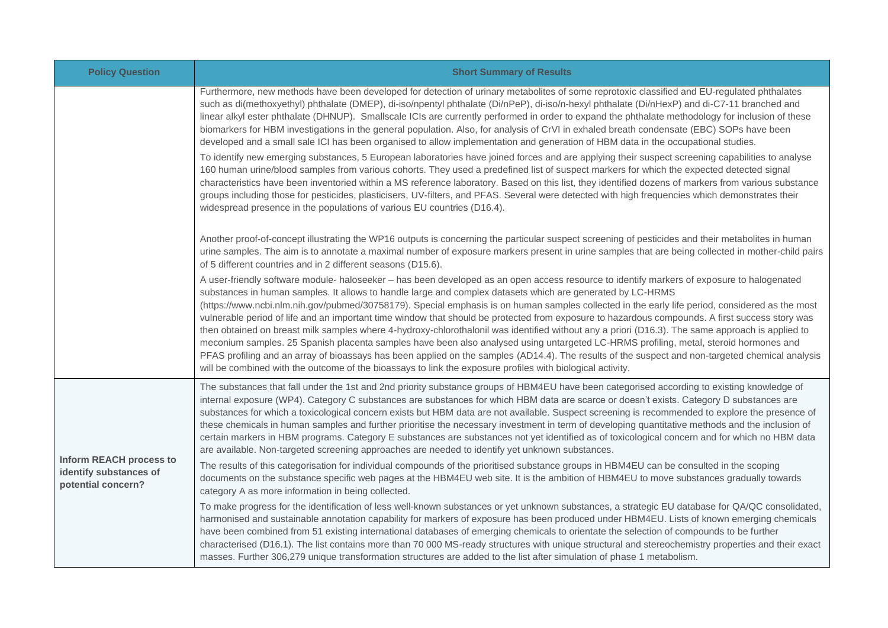| <b>Policy Question</b>                                                         | <b>Short Summary of Results</b>                                                                                                                                                                                                                                                                                                                                                                                                                                                                                                                                                                                                                                                                                                                                                                                                                                                                                                                                                                                                                                                                                               |
|--------------------------------------------------------------------------------|-------------------------------------------------------------------------------------------------------------------------------------------------------------------------------------------------------------------------------------------------------------------------------------------------------------------------------------------------------------------------------------------------------------------------------------------------------------------------------------------------------------------------------------------------------------------------------------------------------------------------------------------------------------------------------------------------------------------------------------------------------------------------------------------------------------------------------------------------------------------------------------------------------------------------------------------------------------------------------------------------------------------------------------------------------------------------------------------------------------------------------|
|                                                                                | Furthermore, new methods have been developed for detection of urinary metabolites of some reprotoxic classified and EU-regulated phthalates<br>such as di(methoxyethyl) phthalate (DMEP), di-iso/npentyl phthalate (Di/nPeP), di-iso/n-hexyl phthalate (Di/nHexP) and di-C7-11 branched and<br>linear alkyl ester phthalate (DHNUP). Smallscale ICIs are currently performed in order to expand the phthalate methodology for inclusion of these<br>biomarkers for HBM investigations in the general population. Also, for analysis of CrVI in exhaled breath condensate (EBC) SOPs have been<br>developed and a small sale ICI has been organised to allow implementation and generation of HBM data in the occupational studies.                                                                                                                                                                                                                                                                                                                                                                                            |
|                                                                                | To identify new emerging substances, 5 European laboratories have joined forces and are applying their suspect screening capabilities to analyse<br>160 human urine/blood samples from various cohorts. They used a predefined list of suspect markers for which the expected detected signal<br>characteristics have been inventoried within a MS reference laboratory. Based on this list, they identified dozens of markers from various substance<br>groups including those for pesticides, plasticisers, UV-filters, and PFAS. Several were detected with high frequencies which demonstrates their<br>widespread presence in the populations of various EU countries (D16.4).                                                                                                                                                                                                                                                                                                                                                                                                                                           |
|                                                                                | Another proof-of-concept illustrating the WP16 outputs is concerning the particular suspect screening of pesticides and their metabolites in human<br>urine samples. The aim is to annotate a maximal number of exposure markers present in urine samples that are being collected in mother-child pairs<br>of 5 different countries and in 2 different seasons (D15.6).                                                                                                                                                                                                                                                                                                                                                                                                                                                                                                                                                                                                                                                                                                                                                      |
|                                                                                | A user-friendly software module- haloseeker - has been developed as an open access resource to identify markers of exposure to halogenated<br>substances in human samples. It allows to handle large and complex datasets which are generated by LC-HRMS<br>(https://www.ncbi.nlm.nih.gov/pubmed/30758179). Special emphasis is on human samples collected in the early life period, considered as the most<br>vulnerable period of life and an important time window that should be protected from exposure to hazardous compounds. A first success story was<br>then obtained on breast milk samples where 4-hydroxy-chlorothalonil was identified without any a priori (D16.3). The same approach is applied to<br>meconium samples. 25 Spanish placenta samples have been also analysed using untargeted LC-HRMS profiling, metal, steroid hormones and<br>PFAS profiling and an array of bioassays has been applied on the samples (AD14.4). The results of the suspect and non-targeted chemical analysis<br>will be combined with the outcome of the bioassays to link the exposure profiles with biological activity. |
| <b>Inform REACH process to</b><br>identify substances of<br>potential concern? | The substances that fall under the 1st and 2nd priority substance groups of HBM4EU have been categorised according to existing knowledge of<br>internal exposure (WP4). Category C substances are substances for which HBM data are scarce or doesn't exists. Category D substances are<br>substances for which a toxicological concern exists but HBM data are not available. Suspect screening is recommended to explore the presence of<br>these chemicals in human samples and further prioritise the necessary investment in term of developing quantitative methods and the inclusion of<br>certain markers in HBM programs. Category E substances are substances not yet identified as of toxicological concern and for which no HBM data<br>are available. Non-targeted screening approaches are needed to identify yet unknown substances.                                                                                                                                                                                                                                                                           |
|                                                                                | The results of this categorisation for individual compounds of the prioritised substance groups in HBM4EU can be consulted in the scoping<br>documents on the substance specific web pages at the HBM4EU web site. It is the ambition of HBM4EU to move substances gradually towards<br>category A as more information in being collected.                                                                                                                                                                                                                                                                                                                                                                                                                                                                                                                                                                                                                                                                                                                                                                                    |
|                                                                                | To make progress for the identification of less well-known substances or yet unknown substances, a strategic EU database for QA/QC consolidated,<br>harmonised and sustainable annotation capability for markers of exposure has been produced under HBM4EU. Lists of known emerging chemicals<br>have been combined from 51 existing international databases of emerging chemicals to orientate the selection of compounds to be further<br>characterised (D16.1). The list contains more than 70 000 MS-ready structures with unique structural and stereochemistry properties and their exact<br>masses. Further 306,279 unique transformation structures are added to the list after simulation of phase 1 metabolism.                                                                                                                                                                                                                                                                                                                                                                                                    |